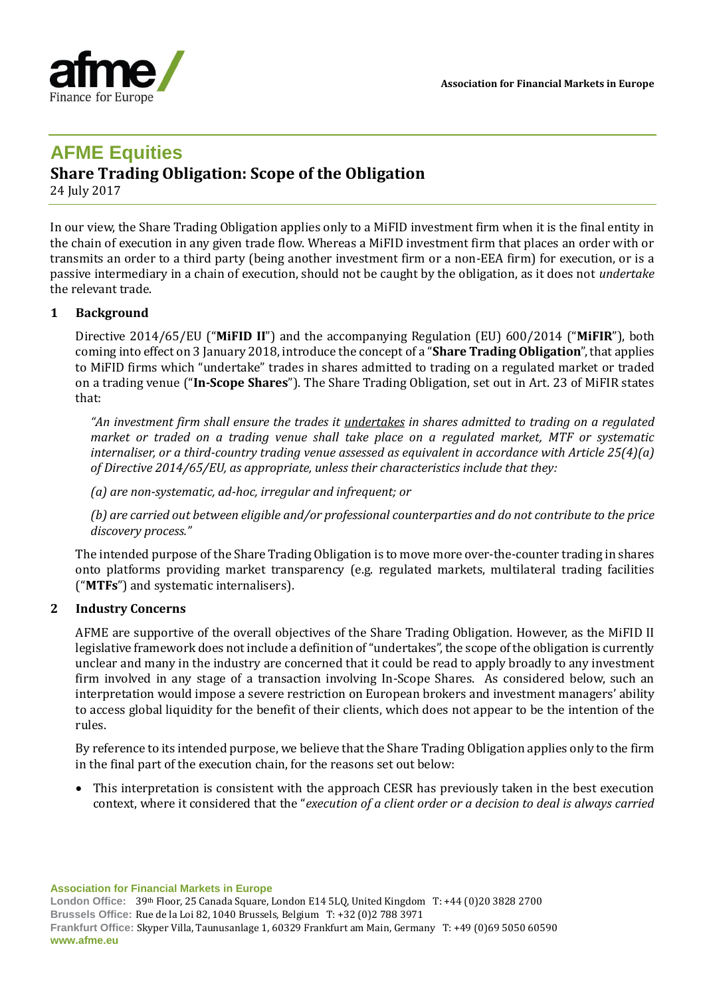

# **AFME Equities**

# **Share Trading Obligation: Scope of the Obligation**

24 July 2017

In our view, the Share Trading Obligation applies only to a MiFID investment firm when it is the final entity in the chain of execution in any given trade flow. Whereas a MiFID investment firm that places an order with or transmits an order to a third party (being another investment firm or a non-EEA firm) for execution, or is a passive intermediary in a chain of execution, should not be caught by the obligation, as it does not *undertake* the relevant trade.

# **1 Background**

Directive 2014/65/EU ("**MiFID II**") and the accompanying Regulation (EU) 600/2014 ("**MiFIR**"), both coming into effect on 3 January 2018, introduce the concept of a "**Share Trading Obligation**", that applies to MiFID firms which "undertake" trades in shares admitted to trading on a regulated market or traded on a trading venue ("**In-Scope Shares**"). The Share Trading Obligation, set out in Art. 23 of MiFIR states that:

*"An investment firm shall ensure the trades it undertakes in shares admitted to trading on a regulated market or traded on a trading venue shall take place on a regulated market, MTF or systematic internaliser, or a third-country trading venue assessed as equivalent in accordance with Article 25(4)(a) of Directive 2014/65/EU, as appropriate, unless their characteristics include that they:* 

*(a) are non-systematic, ad-hoc, irregular and infrequent; or* 

*(b) are carried out between eligible and/or professional counterparties and do not contribute to the price discovery process."*

The intended purpose of the Share Trading Obligation is to move more over-the-counter trading in shares onto platforms providing market transparency (e.g. regulated markets, multilateral trading facilities ("**MTFs**") and systematic internalisers).

# **2 Industry Concerns**

AFME are supportive of the overall objectives of the Share Trading Obligation. However, as the MiFID II legislative framework does not include a definition of "undertakes", the scope of the obligation is currently unclear and many in the industry are concerned that it could be read to apply broadly to any investment firm involved in any stage of a transaction involving In-Scope Shares. As considered below, such an interpretation would impose a severe restriction on European brokers and investment managers' ability to access global liquidity for the benefit of their clients, which does not appear to be the intention of the rules.

By reference to its intended purpose, we believe that the Share Trading Obligation applies only to the firm in the final part of the execution chain, for the reasons set out below:

• This interpretation is consistent with the approach CESR has previously taken in the best execution context, where it considered that the "*execution of a client order or a decision to deal is always carried* 

**Association for Financial Markets in Europe**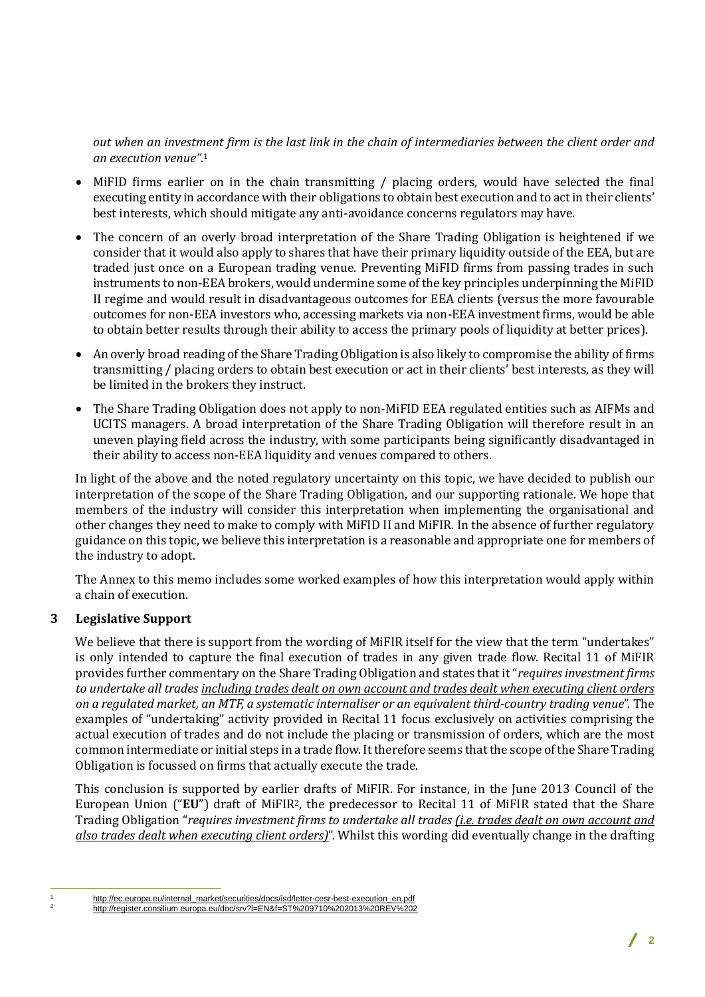*out when an investment firm is the last link in the chain of intermediaries between the client order and an execution venue"*. 1

- MiFID firms earlier on in the chain transmitting / placing orders, would have selected the final executing entity in accordance with their obligations to obtain best execution and to act in their clients' best interests, which should mitigate any anti-avoidance concerns regulators may have.
- The concern of an overly broad interpretation of the Share Trading Obligation is heightened if we consider that it would also apply to shares that have their primary liquidity outside of the EEA, but are traded just once on a European trading venue. Preventing MiFID firms from passing trades in such instruments to non-EEA brokers, would undermine some of the key principles underpinning the MiFID II regime and would result in disadvantageous outcomes for EEA clients (versus the more favourable outcomes for non-EEA investors who, accessing markets via non-EEA investment firms, would be able to obtain better results through their ability to access the primary pools of liquidity at better prices).
- An overly broad reading of the Share Trading Obligation is also likely to compromise the ability of firms transmitting / placing orders to obtain best execution or act in their clients' best interests, as they will be limited in the brokers they instruct.
- The Share Trading Obligation does not apply to non-MiFID EEA regulated entities such as AIFMs and UCITS managers. A broad interpretation of the Share Trading Obligation will therefore result in an uneven playing field across the industry, with some participants being significantly disadvantaged in their ability to access non-EEA liquidity and venues compared to others.

In light of the above and the noted regulatory uncertainty on this topic, we have decided to publish our interpretation of the scope of the Share Trading Obligation, and our supporting rationale. We hope that members of the industry will consider this interpretation when implementing the organisational and other changes they need to make to comply with MiFID II and MiFIR. In the absence of further regulatory guidance on this topic, we believe this interpretation is a reasonable and appropriate one for members of the industry to adopt.

The Annex to this memo includes some worked examples of how this interpretation would apply within a chain of execution.

# **3 Legislative Support**

We believe that there is support from the wording of MiFIR itself for the view that the term "undertakes" is only intended to capture the final execution of trades in any given trade flow. Recital 11 of MiFIR provides further commentary on the Share Trading Obligation and states that it "*requires investment firms to undertake all trades including trades dealt on own account and trades dealt when executing client orders on a regulated market, an MTF, a systematic internaliser or an equivalent third-country trading venue*". The examples of "undertaking" activity provided in Recital 11 focus exclusively on activities comprising the actual execution of trades and do not include the placing or transmission of orders, which are the most common intermediate or initial steps in a trade flow. It therefore seems that the scope of the Share Trading Obligation is focussed on firms that actually execute the trade.

This conclusion is supported by earlier drafts of MiFIR. For instance, in the June 2013 Council of the European Union ("**EU**") draft of MiFIR2, the predecessor to Recital 11 of MiFIR stated that the Share Trading Obligation "*requires investment firms to undertake all trades (i.e. trades dealt on own account and also trades dealt when executing client orders)*". Whilst this wording did eventually change in the drafting

 $\overline{a}$ 

http://ec.europa.eu/internal\_market/securities/docs/isd/letter-cesr-best-execution\_en.pdf <sup>2</sup> <http://register.consilium.europa.eu/doc/srv?l=EN&f=ST%209710%202013%20REV%202>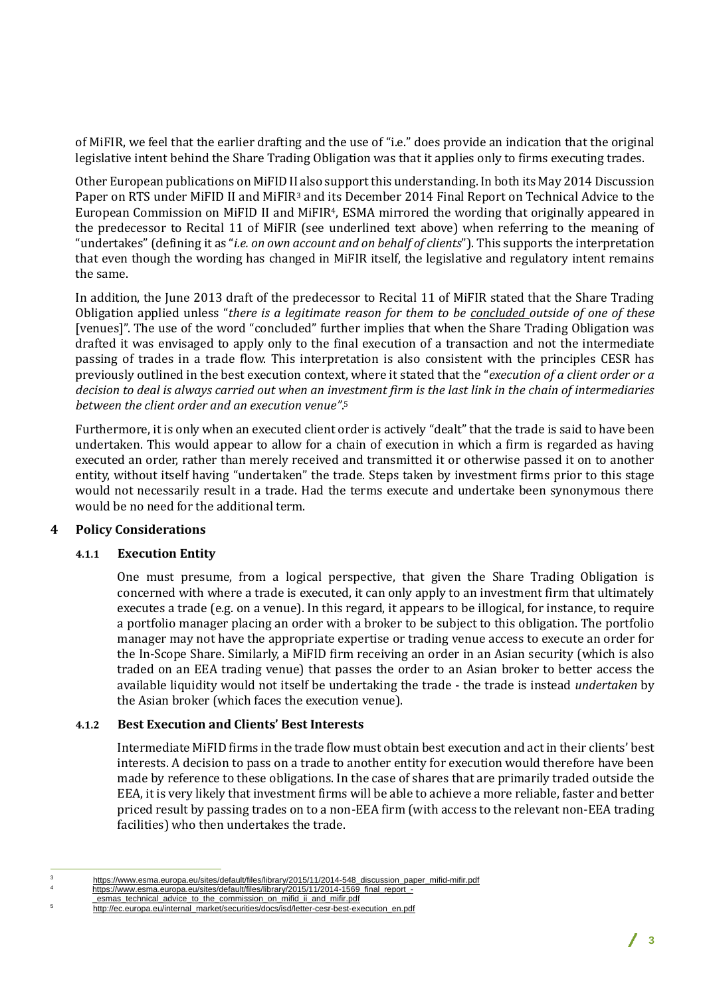of MiFIR, we feel that the earlier drafting and the use of "i.e." does provide an indication that the original legislative intent behind the Share Trading Obligation was that it applies only to firms executing trades.

Other European publications on MiFID II also support this understanding. In both its May 2014 Discussion Paper on RTS under MiFID II and MiFIR<sup>3</sup> and its December 2014 Final Report on Technical Advice to the European Commission on MiFID II and MiFIR4, ESMA mirrored the wording that originally appeared in the predecessor to Recital 11 of MiFIR (see underlined text above) when referring to the meaning of "undertakes" (defining it as "*i.e. on own account and on behalf of clients*"). This supports the interpretation that even though the wording has changed in MiFIR itself, the legislative and regulatory intent remains the same.

In addition, the June 2013 draft of the predecessor to Recital 11 of MiFIR stated that the Share Trading Obligation applied unless "*there is a legitimate reason for them to be concluded outside of one of these* [venues]". The use of the word "concluded" further implies that when the Share Trading Obligation was drafted it was envisaged to apply only to the final execution of a transaction and not the intermediate passing of trades in a trade flow. This interpretation is also consistent with the principles CESR has previously outlined in the best execution context, where it stated that the "*execution of a client order or a decision to deal is always carried out when an investment firm is the last link in the chain of intermediaries between the client order and an execution venue"*. 5

Furthermore, it is only when an executed client order is actively "dealt" that the trade is said to have been undertaken. This would appear to allow for a chain of execution in which a firm is regarded as having executed an order, rather than merely received and transmitted it or otherwise passed it on to another entity, without itself having "undertaken" the trade. Steps taken by investment firms prior to this stage would not necessarily result in a trade. Had the terms execute and undertake been synonymous there would be no need for the additional term.

# **4 Policy Considerations**

# **4.1.1 Execution Entity**

One must presume, from a logical perspective, that given the Share Trading Obligation is concerned with where a trade is executed, it can only apply to an investment firm that ultimately executes a trade (e.g. on a venue). In this regard, it appears to be illogical, for instance, to require a portfolio manager placing an order with a broker to be subject to this obligation. The portfolio manager may not have the appropriate expertise or trading venue access to execute an order for the In-Scope Share. Similarly, a MiFID firm receiving an order in an Asian security (which is also traded on an EEA trading venue) that passes the order to an Asian broker to better access the available liquidity would not itself be undertaking the trade - the trade is instead *undertaken* by the Asian broker (which faces the execution venue).

#### **4.1.2 Best Execution and Clients' Best Interests**

Intermediate MiFID firms in the trade flow must obtain best execution and act in their clients' best interests. A decision to pass on a trade to another entity for execution would therefore have been made by reference to these obligations. In the case of shares that are primarily traded outside the EEA, it is very likely that investment firms will be able to achieve a more reliable, faster and better priced result by passing trades on to a non-EEA firm (with access to the relevant non-EEA trading facilities) who then undertakes the trade.

 $\overline{a}$ 

https://www.esma.europa.eu/sites/default/files/library/2015/11/2014-548\_discussion\_paper\_mifid-mifir.pdf

[https://www.esma.europa.eu/sites/default/files/library/2015/11/2014-1569\\_final\\_report\\_](https://www.esma.europa.eu/sites/default/files/library/2015/11/2014-1569_final_report_-_esmas_technical_advice_to_the_commission_on_mifid_ii_and_mifir.pdf) esmas technical advice to the commission on mifid ii and mifir.pdf

<sup>5</sup> [http://ec.europa.eu/internal\\_market/securities/docs/isd/letter-cesr-best-execution\\_en.pdf](http://ec.europa.eu/internal_market/securities/docs/isd/letter-cesr-best-execution_en.pdf)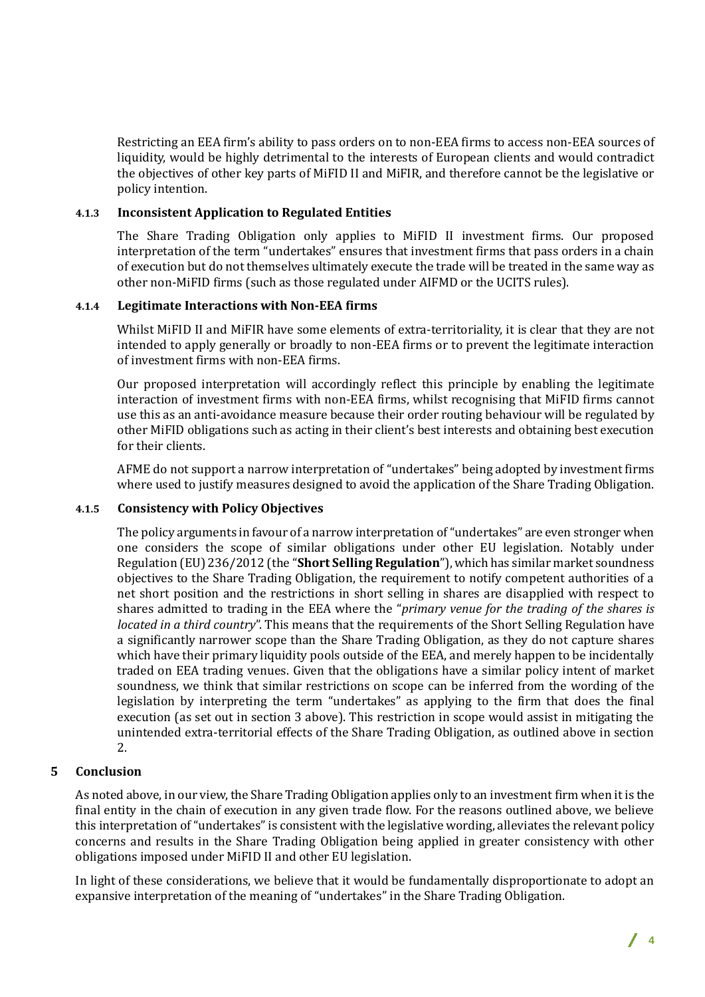Restricting an EEA firm's ability to pass orders on to non-EEA firms to access non-EEA sources of liquidity, would be highly detrimental to the interests of European clients and would contradict the objectives of other key parts of MiFID II and MiFIR, and therefore cannot be the legislative or policy intention.

#### **4.1.3 Inconsistent Application to Regulated Entities**

The Share Trading Obligation only applies to MiFID II investment firms. Our proposed interpretation of the term "undertakes" ensures that investment firms that pass orders in a chain of execution but do not themselves ultimately execute the trade will be treated in the same way as other non-MiFID firms (such as those regulated under AIFMD or the UCITS rules).

#### **4.1.4 Legitimate Interactions with Non-EEA firms**

Whilst MiFID II and MiFIR have some elements of extra-territoriality, it is clear that they are not intended to apply generally or broadly to non-EEA firms or to prevent the legitimate interaction of investment firms with non-EEA firms.

Our proposed interpretation will accordingly reflect this principle by enabling the legitimate interaction of investment firms with non-EEA firms, whilst recognising that MiFID firms cannot use this as an anti-avoidance measure because their order routing behaviour will be regulated by other MiFID obligations such as acting in their client's best interests and obtaining best execution for their clients.

AFME do not support a narrow interpretation of "undertakes" being adopted by investment firms where used to justify measures designed to avoid the application of the Share Trading Obligation.

#### **4.1.5 Consistency with Policy Objectives**

The policy arguments in favour of a narrow interpretation of "undertakes" are even stronger when one considers the scope of similar obligations under other EU legislation. Notably under Regulation (EU) 236/2012 (the "**Short Selling Regulation**"), which has similar market soundness objectives to the Share Trading Obligation, the requirement to notify competent authorities of a net short position and the restrictions in short selling in shares are disapplied with respect to shares admitted to trading in the EEA where the "*primary venue for the trading of the shares is located in a third country*". This means that the requirements of the Short Selling Regulation have a significantly narrower scope than the Share Trading Obligation, as they do not capture shares which have their primary liquidity pools outside of the EEA, and merely happen to be incidentally traded on EEA trading venues. Given that the obligations have a similar policy intent of market soundness, we think that similar restrictions on scope can be inferred from the wording of the legislation by interpreting the term "undertakes" as applying to the firm that does the final execution (as set out in section 3 above). This restriction in scope would assist in mitigating the unintended extra-territorial effects of the Share Trading Obligation, as outlined above in section 2.

# **5 Conclusion**

As noted above, in our view, the Share Trading Obligation applies only to an investment firm when it is the final entity in the chain of execution in any given trade flow. For the reasons outlined above, we believe this interpretation of "undertakes" is consistent with the legislative wording, alleviates the relevant policy concerns and results in the Share Trading Obligation being applied in greater consistency with other obligations imposed under MiFID II and other EU legislation.

In light of these considerations, we believe that it would be fundamentally disproportionate to adopt an expansive interpretation of the meaning of "undertakes" in the Share Trading Obligation.